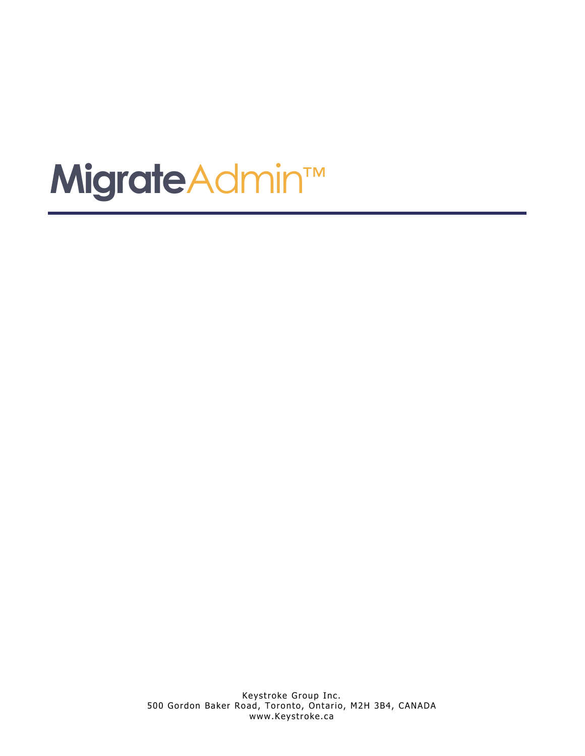# **Migrate**Admin™

Keystroke Group Inc. 500 Gordon Baker Road, Toronto, Ontario, M2H 3B4, CANADA www.Keystroke.ca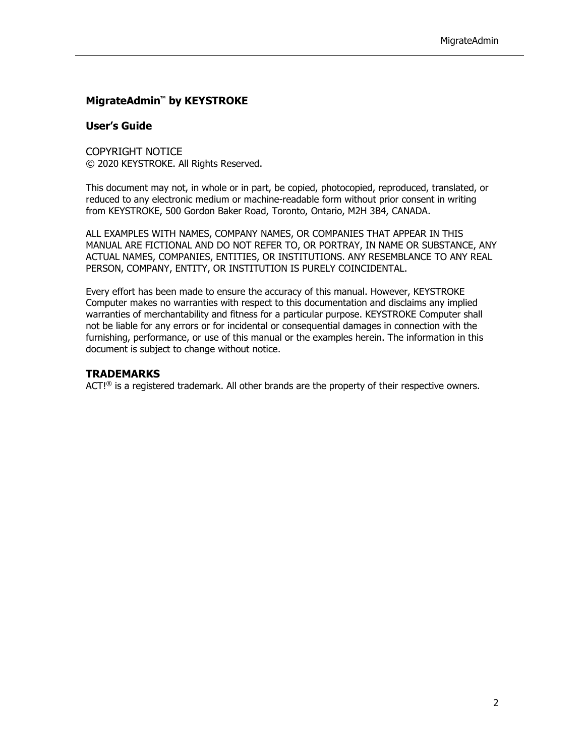### **MigrateAdmin™ by KEYSTROKE**

#### **User's Guide**

COPYRIGHT NOTICE © 2020 KEYSTROKE. All Rights Reserved.

This document may not, in whole or in part, be copied, photocopied, reproduced, translated, or reduced to any electronic medium or machine-readable form without prior consent in writing from KEYSTROKE, 500 Gordon Baker Road, Toronto, Ontario, M2H 3B4, CANADA.

ALL EXAMPLES WITH NAMES, COMPANY NAMES, OR COMPANIES THAT APPEAR IN THIS MANUAL ARE FICTIONAL AND DO NOT REFER TO, OR PORTRAY, IN NAME OR SUBSTANCE, ANY ACTUAL NAMES, COMPANIES, ENTITIES, OR INSTITUTIONS. ANY RESEMBLANCE TO ANY REAL PERSON, COMPANY, ENTITY, OR INSTITUTION IS PURELY COINCIDENTAL.

Every effort has been made to ensure the accuracy of this manual. However, KEYSTROKE Computer makes no warranties with respect to this documentation and disclaims any implied warranties of merchantability and fitness for a particular purpose. KEYSTROKE Computer shall not be liable for any errors or for incidental or consequential damages in connection with the furnishing, performance, or use of this manual or the examples herein. The information in this document is subject to change without notice.

### **TRADEMARKS**

ACT! $<sup>®</sup>$  is a registered trademark. All other brands are the property of their respective owners.</sup>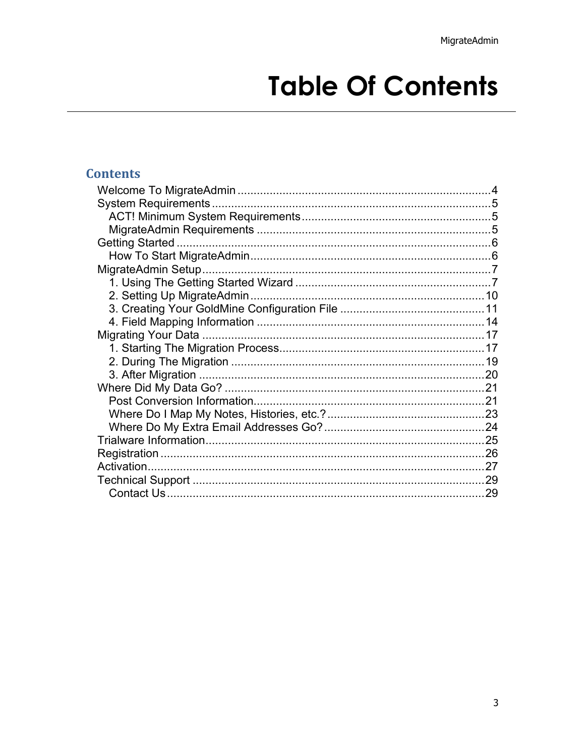## **Table Of Contents**

### **Contents**

| .29 |
|-----|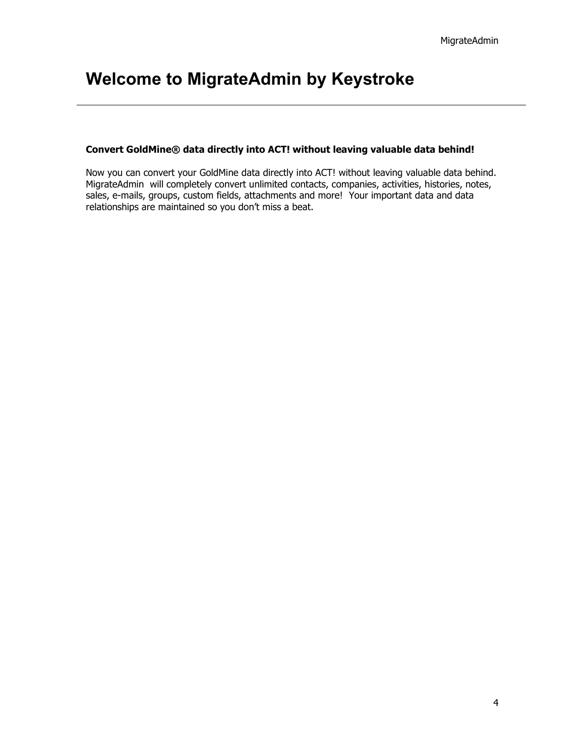### <span id="page-3-0"></span>**Welcome to MigrateAdmin by Keystroke**

### **Convert GoldMine® data directly into ACT! without leaving valuable data behind!**

Now you can convert your GoldMine data directly into ACT! without leaving valuable data behind. MigrateAdmin will completely convert unlimited contacts, companies, activities, histories, notes, sales, e-mails, groups, custom fields, attachments and more! Your important data and data relationships are maintained so you don't miss a beat.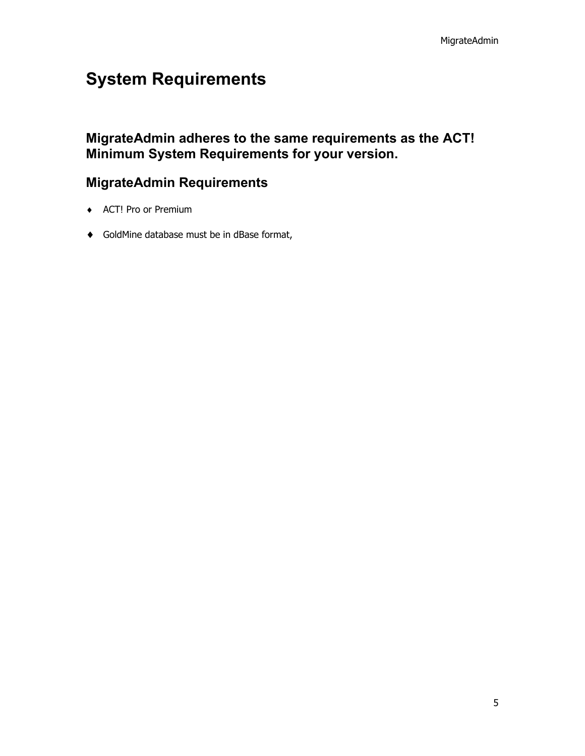### <span id="page-4-0"></span>**System Requirements**

<span id="page-4-1"></span>**MigrateAdmin adheres to the same requirements as the ACT! Minimum System Requirements for your version.**

### <span id="page-4-2"></span>**MigrateAdmin Requirements**

- ♦ ACT! Pro or Premium
- ♦ GoldMine database must be in dBase format,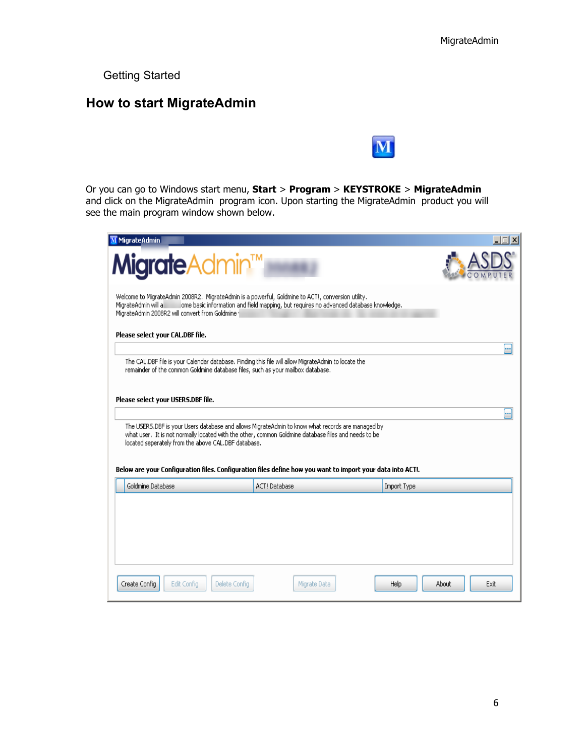<span id="page-5-0"></span>Getting Started

### <span id="page-5-1"></span>**How to start MigrateAdmin**



Or you can go to Windows start menu, **Start** > **Program** > **KEYSTROKE** > **MigrateAdmin**  and click on the MigrateAdmin program icon. Upon starting the MigrateAdmin product you will see the main program window shown below.

| <b>Migrate</b> Admin™<br>Welcome to MigrateAdmin 2008R2. MigrateAdmin is a powerful, Goldmine to ACT!, conversion utility,<br>ome basic information and field mapping, but requires no advanced database knowledge.<br>MigrateAdmin will al<br>MigrateAdmin 2008R2 will convert from Goldmine 1<br>Please select your CAL.DBF file.<br>The CAL.DBF file is your Calendar database. Finding this file will allow MigrateAdmin to locate the<br>remainder of the common Goldmine database files, such as your mailbox database.<br>Please select your USERS.DBF file.<br>The USERS.DBF is your Users database and allows MigrateAdmin to know what records are managed by<br>what user. It is not normally located with the other, common Goldmine database files and needs to be<br>located seperately from the above CAL.DBF database.<br>Below are your Configuration files. Configuration files define how you want to import your data into ACT!.<br>Goldmine Database<br>ACT! Database | <br>m       |
|--------------------------------------------------------------------------------------------------------------------------------------------------------------------------------------------------------------------------------------------------------------------------------------------------------------------------------------------------------------------------------------------------------------------------------------------------------------------------------------------------------------------------------------------------------------------------------------------------------------------------------------------------------------------------------------------------------------------------------------------------------------------------------------------------------------------------------------------------------------------------------------------------------------------------------------------------------------------------------------------|-------------|
|                                                                                                                                                                                                                                                                                                                                                                                                                                                                                                                                                                                                                                                                                                                                                                                                                                                                                                                                                                                            |             |
|                                                                                                                                                                                                                                                                                                                                                                                                                                                                                                                                                                                                                                                                                                                                                                                                                                                                                                                                                                                            |             |
|                                                                                                                                                                                                                                                                                                                                                                                                                                                                                                                                                                                                                                                                                                                                                                                                                                                                                                                                                                                            |             |
|                                                                                                                                                                                                                                                                                                                                                                                                                                                                                                                                                                                                                                                                                                                                                                                                                                                                                                                                                                                            |             |
|                                                                                                                                                                                                                                                                                                                                                                                                                                                                                                                                                                                                                                                                                                                                                                                                                                                                                                                                                                                            |             |
|                                                                                                                                                                                                                                                                                                                                                                                                                                                                                                                                                                                                                                                                                                                                                                                                                                                                                                                                                                                            |             |
|                                                                                                                                                                                                                                                                                                                                                                                                                                                                                                                                                                                                                                                                                                                                                                                                                                                                                                                                                                                            | Import Type |
|                                                                                                                                                                                                                                                                                                                                                                                                                                                                                                                                                                                                                                                                                                                                                                                                                                                                                                                                                                                            |             |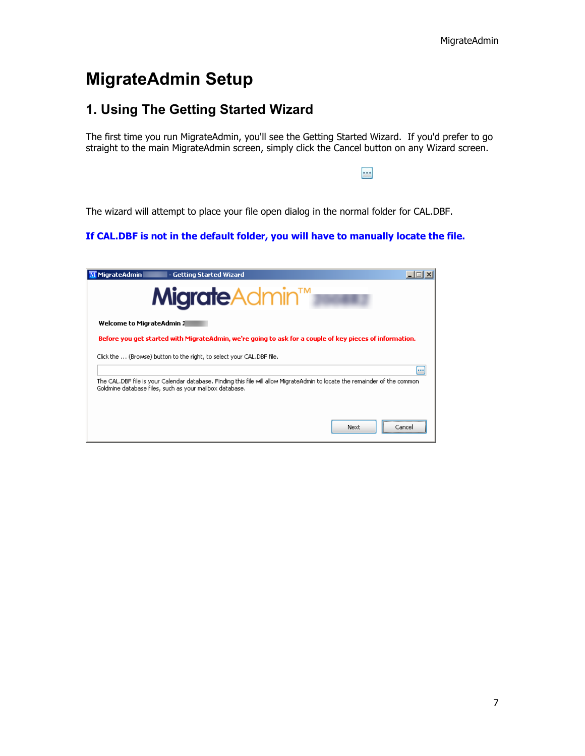### <span id="page-6-0"></span>**MigrateAdmin Setup**

### <span id="page-6-1"></span>**1. Using The Getting Started Wizard**

The first time you run MigrateAdmin, you'll see the Getting Started Wizard. If you'd prefer to go straight to the main [MigrateAdmin screen,](http://www.asdscomputer.com/help/migrateadmin2008r2/MigrateAdmin_Setup/Choosing_the_Data_Source.htm) simply click the Cancel button on any Wizard screen.

p.

The wizard will attempt to place your file open dialog in the normal folder for CAL.DBF.

### **If CAL.DBF is not in the default folder, you will have to manually locate the file.**

| MigrateAdmin                                                                                                                                                                           | - Getting Started Wizard                                                                                |       |  |  |  |  |
|----------------------------------------------------------------------------------------------------------------------------------------------------------------------------------------|---------------------------------------------------------------------------------------------------------|-------|--|--|--|--|
| <b>Migrate</b> Admin™                                                                                                                                                                  |                                                                                                         |       |  |  |  |  |
|                                                                                                                                                                                        | Welcome to MigrateAdmin 1                                                                               |       |  |  |  |  |
|                                                                                                                                                                                        | Before you get started with MigrateAdmin, we're going to ask for a couple of key pieces of information. |       |  |  |  |  |
| Click the  (Browse) button to the right, to select your CAL.DBF file.                                                                                                                  |                                                                                                         |       |  |  |  |  |
|                                                                                                                                                                                        |                                                                                                         |       |  |  |  |  |
| The CAL.DBF file is your Calendar database. Finding this file will allow MigrateAdmin to locate the remainder of the common<br>Goldmine database files, such as your mailbox database. |                                                                                                         |       |  |  |  |  |
|                                                                                                                                                                                        |                                                                                                         |       |  |  |  |  |
|                                                                                                                                                                                        | Next                                                                                                    | Cance |  |  |  |  |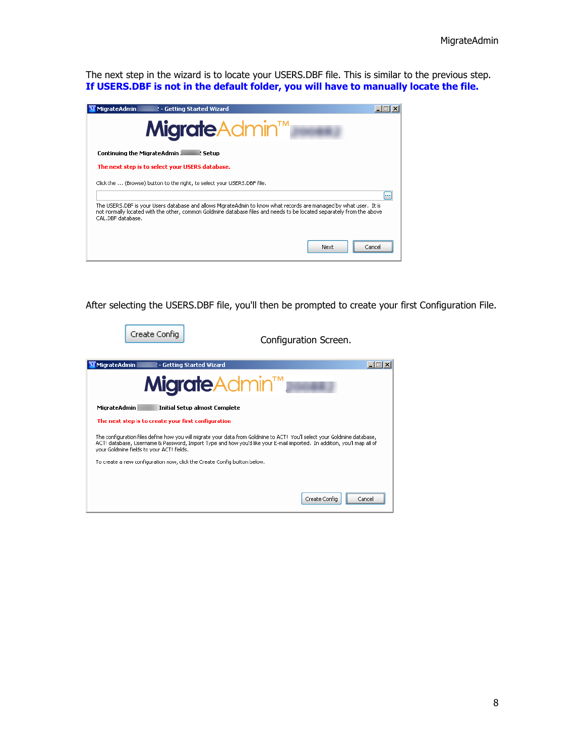The next step in the wizard is to locate your USERS.DBF file. This is similar to the previous step. **If USERS.DBF is not in the default folder, you will have to manually locate the file.**

| MigrateAdmin<br>! - Getting Started Wizard                                                                                                                                                                                                                      |        |
|-----------------------------------------------------------------------------------------------------------------------------------------------------------------------------------------------------------------------------------------------------------------|--------|
| <b>Migrate</b> Admin™                                                                                                                                                                                                                                           |        |
| <b>Continuing the MigrateAdmin J</b><br>l: Setup                                                                                                                                                                                                                |        |
| The next step is to select your USERS database.                                                                                                                                                                                                                 |        |
| Click the  (Browse) button to the right, to select your USERS.DBF file.                                                                                                                                                                                         |        |
|                                                                                                                                                                                                                                                                 |        |
| The USERS.DBF is your Users database and allows MigrateAdmin to know what records are managed by what user. It is<br>not normally located with the other, common Goldmine database files and needs to be located separately from the above<br>CAL.DBE database. |        |
| Next                                                                                                                                                                                                                                                            | Cancel |

After selecting the USERS.DBF file, you'll then be prompted to create your first Configuration File.

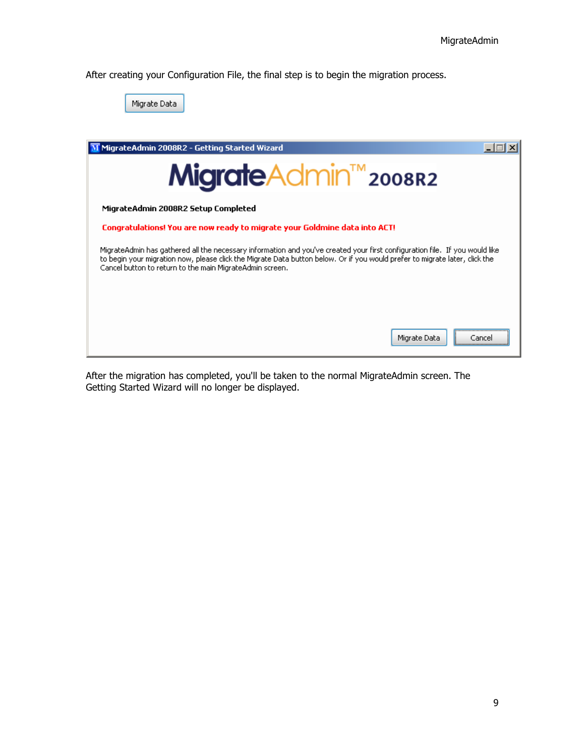After creating your Configuration File, the final step is to begin the migration process.



After the migration has completed, you'll be taken to the normal MigrateAdmin screen. The Getting Started Wizard will no longer be displayed.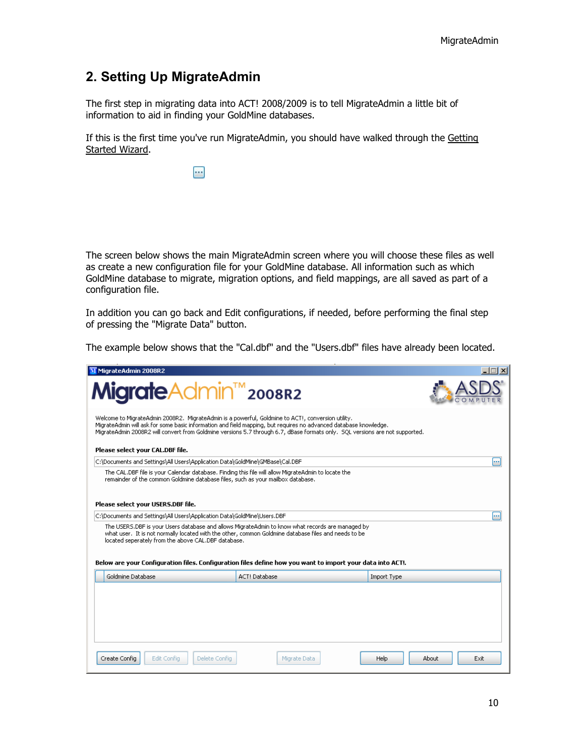### <span id="page-9-0"></span>**2. Setting Up MigrateAdmin**

The first step in migrating data into ACT! 2008/2009 is to tell MigrateAdmin a little bit of information to aid in finding your GoldMine databases.

If this is the first time you've run MigrateAdmin, you should have walked through the [Getting](http://www.asdscomputer.com/help/migrateadmin2008r2/MigrateAdmin_Setup/1._Using_the_Getting_Started_Wizard.htm)  [Started Wizard.](http://www.asdscomputer.com/help/migrateadmin2008r2/MigrateAdmin_Setup/1._Using_the_Getting_Started_Wizard.htm)

 $\overline{\phantom{a}}$ 

The screen below shows the main MigrateAdmin screen where you will choose these files as well as create a new configuration file for your GoldMine database. All information such as which GoldMine database to migrate, migration options, and field mappings, are all saved as part of a configuration file.

In addition you can go back and Edit configurations, if needed, before performing the final step of pressing the "Migrate Data" button.

The example below shows that the "Cal.dbf" and the "Users.dbf" files have already been located.

| M MigrateAdmin 2008R2                                                                                                                                                                                                                                                                                                                                 |                                                                                                  |                                     |
|-------------------------------------------------------------------------------------------------------------------------------------------------------------------------------------------------------------------------------------------------------------------------------------------------------------------------------------------------------|--------------------------------------------------------------------------------------------------|-------------------------------------|
| <b>Migrate</b> Admin <sup>™</sup> 2008R2                                                                                                                                                                                                                                                                                                              |                                                                                                  |                                     |
| Welcome to MigrateAdmin 2008R2. MigrateAdmin is a powerful, Goldmine to ACT!, conversion utility,<br>MigrateAdmin will ask for some basic information and field mapping, but requires no advanced database knowledge,<br>MigrateAdmin 2008R2 will convert from Goldmine versions 5.7 through 6.7, dBase formats only. SQL versions are not supported. |                                                                                                  |                                     |
| Please select your CAL.DBF file.                                                                                                                                                                                                                                                                                                                      |                                                                                                  |                                     |
| C:\Documents and Settings\All Users\Application Data\GoldMine\GMBase\Cal.DBF<br>The CAL.DBF file is your Calendar database. Finding this file will allow MigrateAdmin to locate the                                                                                                                                                                   |                                                                                                  | m                                   |
| remainder of the common Goldmine database files, such as your mailbox database.                                                                                                                                                                                                                                                                       |                                                                                                  |                                     |
| Please select your USERS.DBF file.                                                                                                                                                                                                                                                                                                                    |                                                                                                  |                                     |
| C:\Documents and Settings\All Users\Application Data\GoldMine\Users.DBF                                                                                                                                                                                                                                                                               |                                                                                                  |                                     |
| what user. It is not normally located with the other, common Goldmine database files and needs to be<br>located seperately from the above CAL.DBF database.                                                                                                                                                                                           | The USERS.DBF is your Users database and allows MigrateAdmin to know what records are managed by |                                     |
| Below are your Configuration files. Configuration files define how you want to import your data into ACT!.                                                                                                                                                                                                                                            |                                                                                                  |                                     |
| Goldmine Database                                                                                                                                                                                                                                                                                                                                     | ACT! Database                                                                                    | Import Type                         |
|                                                                                                                                                                                                                                                                                                                                                       |                                                                                                  |                                     |
|                                                                                                                                                                                                                                                                                                                                                       |                                                                                                  |                                     |
|                                                                                                                                                                                                                                                                                                                                                       |                                                                                                  |                                     |
|                                                                                                                                                                                                                                                                                                                                                       |                                                                                                  |                                     |
|                                                                                                                                                                                                                                                                                                                                                       |                                                                                                  |                                     |
| Create Config<br>Edit Config<br>Delete Confia                                                                                                                                                                                                                                                                                                         | Migrate Data                                                                                     | <b>Help</b><br>About<br><b>Exit</b> |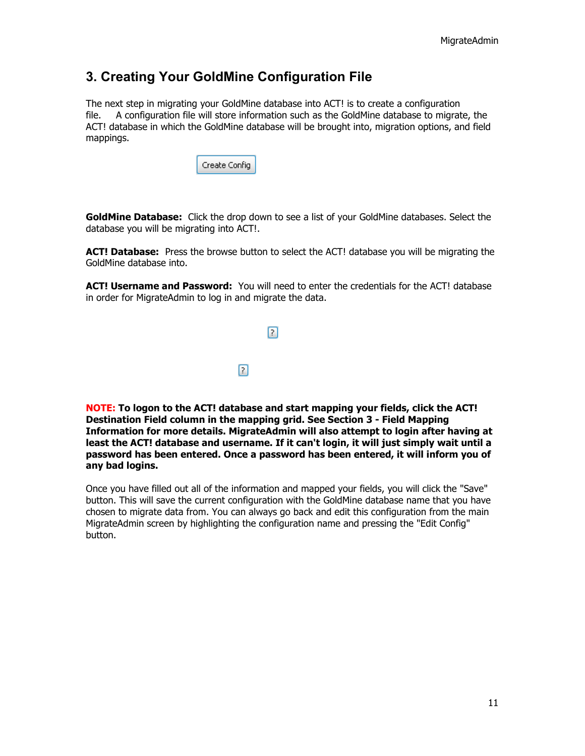### <span id="page-10-0"></span>**3. Creating Your GoldMine Configuration File**

The next step in migrating your GoldMine database into ACT! is to create a configuration file. A configuration file will store information such as the GoldMine database to migrate, the ACT! database in which the GoldMine database will be brought into, migration options, and field mappings.

| Create Config |
|---------------|
|---------------|

**GoldMine Database:** Click the drop down to see a list of your GoldMine databases. Select the database you will be migrating into ACT!.

**ACT! Database:** Press the browse button to select the ACT! database you will be migrating the GoldMine database into.

**ACT! Username and Password:** You will need to enter the credentials for the ACT! database in order for MigrateAdmin to log in and migrate the data.

|   | ? |
|---|---|
|   |   |
| 7 |   |

**NOTE: To logon to the ACT! database and start mapping your fields, click the ACT! Destination Field column in the mapping grid. See Section 3 - Field Mapping Information for more details. MigrateAdmin will also attempt to login after having at least the ACT! database and username. If it can't login, it will just simply wait until a password has been entered. Once a password has been entered, it will inform you of any bad logins.**

Once you have filled out all of the information and mapped your fields, you will click the "Save" button. This will save the current configuration with the GoldMine database name that you have chosen to migrate data from. You can always go back and edit this configuration from the main MigrateAdmin screen by highlighting the configuration name and pressing the "Edit Config" button.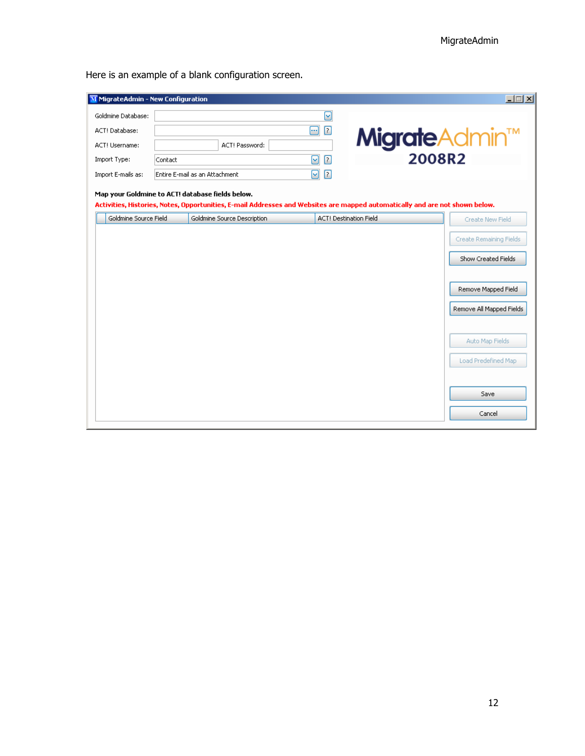Here is an example of a blank configuration screen.

| M MigrateAdmin - New Configuration                                        |                                |                             |        |                                                                                                                                                               | $ \Box$ $\times$                                |
|---------------------------------------------------------------------------|--------------------------------|-----------------------------|--------|---------------------------------------------------------------------------------------------------------------------------------------------------------------|-------------------------------------------------|
| Goldmine Database:                                                        |                                |                             | ☑      |                                                                                                                                                               |                                                 |
| ACT! Database:                                                            |                                |                             | ◙<br>⊕ |                                                                                                                                                               |                                                 |
| ACT! Username:                                                            |                                | ACT! Password:              |        | <b>Migrate</b> Admin™                                                                                                                                         |                                                 |
| Import Type:                                                              | Contact                        |                             | ◙<br>☑ | 2008R2                                                                                                                                                        |                                                 |
| Import E-mails as:                                                        | Entire E-mail as an Attachment |                             | ◙<br>⊡ |                                                                                                                                                               |                                                 |
| Map your Goldmine to ACT! database fields below.<br>Goldmine Source Field |                                | Goldmine Source Description |        | Activities, Histories, Notes, Opportunities, E-mail Addresses and Websites are mapped automatically and are not shown below.<br><b>ACT! Destination Field</b> |                                                 |
|                                                                           |                                |                             |        |                                                                                                                                                               | Create New Field                                |
|                                                                           |                                |                             |        |                                                                                                                                                               | Create Remaining Fields                         |
|                                                                           |                                |                             |        |                                                                                                                                                               | Show Created Fields                             |
|                                                                           |                                |                             |        |                                                                                                                                                               | Remove Mapped Field<br>Remove All Mapped Fields |
|                                                                           |                                |                             |        |                                                                                                                                                               | Auto Map Fields<br>Load Predefined Map          |
|                                                                           |                                |                             |        |                                                                                                                                                               | Save<br>Cancel                                  |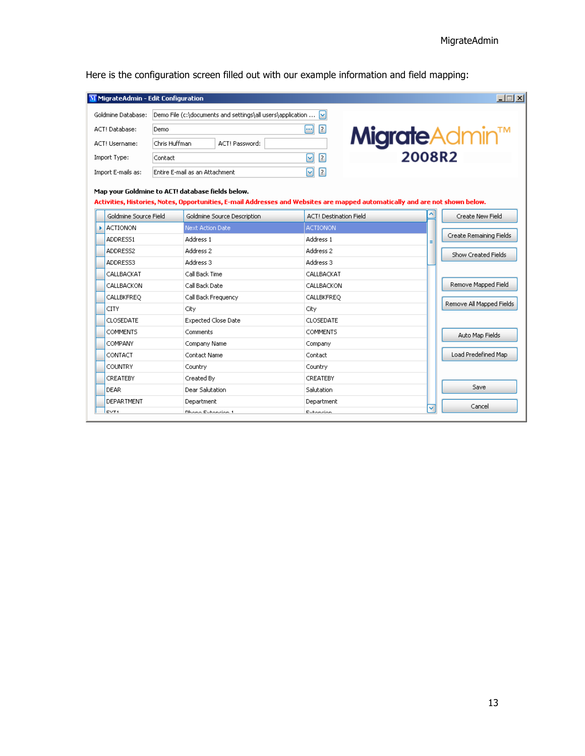| Here is the configuration screen filled out with our example information and field mapping: |  |  |  |
|---------------------------------------------------------------------------------------------|--|--|--|
|---------------------------------------------------------------------------------------------|--|--|--|

|          | MigrateAdmin - Edit Configuration |               |                                                                                                                                                                                  |                               |                                   | $\Box$                   |
|----------|-----------------------------------|---------------|----------------------------------------------------------------------------------------------------------------------------------------------------------------------------------|-------------------------------|-----------------------------------|--------------------------|
|          | Goldmine Database:                |               | Demo File (c:\documents and settings\all users\application                                                                                                                       |                               |                                   |                          |
|          | ACT! Database:                    | Demo          |                                                                                                                                                                                  | ⊡<br>- 1                      |                                   |                          |
|          | ACT! Username:                    | Chris Huffman | ACT! Password:                                                                                                                                                                   |                               |                                   |                          |
|          | Import Type:                      | Contact       |                                                                                                                                                                                  | ◘<br>$\sim$                   | <b>Migrate</b> Admin <sup>™</sup> |                          |
|          | Import E-mails as:                |               | Entire E-mail as an Attachment                                                                                                                                                   | ◘<br>⊡                        |                                   |                          |
|          |                                   |               | Map your Goldmine to ACT! database fields below.<br>Activities, Histories, Notes, Opportunities, E-mail Addresses and Websites are mapped automatically and are not shown below. |                               |                                   |                          |
|          | Goldmine Source Field             |               | Goldmine Source Description                                                                                                                                                      | <b>ACT! Destination Field</b> |                                   | Create New Field         |
| k        | <b>ACTIONON</b>                   |               | Next Action Date                                                                                                                                                                 | <b>ACTIONON</b>               |                                   | Create Remaining Fields  |
| ADDRESS1 |                                   |               | Address 1                                                                                                                                                                        | Address 1                     | Ξ                                 |                          |
|          | ADDRESS2                          |               | Address 2                                                                                                                                                                        | Address 2                     |                                   | Show Created Fields      |
|          | ADDRESS3                          |               | Address 3                                                                                                                                                                        | Address 3                     |                                   |                          |
|          | CALLBACKAT                        |               | Call Back Time                                                                                                                                                                   | CALLBACKAT                    |                                   |                          |
|          | CALLBACKON                        |               | Call Back Date                                                                                                                                                                   | CALLBACKON                    |                                   | Remove Mapped Field      |
|          | CALLBKFREQ                        |               | Call Back Frequency                                                                                                                                                              | CALLBKFREQ                    |                                   | Remove All Mapped Fields |
|          | CITY                              |               | City                                                                                                                                                                             | City                          |                                   |                          |
|          | <b>CLOSEDATE</b>                  |               | <b>Expected Close Date</b>                                                                                                                                                       | CLOSEDATE                     |                                   |                          |
|          | <b>COMMENTS</b>                   |               | Comments                                                                                                                                                                         | <b>COMMENTS</b>               |                                   | Auto Map Fields          |
|          | COMPANY                           |               | Company Name                                                                                                                                                                     | Company                       |                                   |                          |
|          | CONTACT                           |               | Contact Name                                                                                                                                                                     | Contact                       |                                   | Load Predefined Map      |
|          | COUNTRY                           |               | Country                                                                                                                                                                          | Country                       |                                   |                          |
|          | CREATEBY                          |               | Created By                                                                                                                                                                       | <b>CREATEBY</b>               |                                   |                          |
|          | DEAR                              |               | <b>Dear Salutation</b>                                                                                                                                                           | Salutation                    |                                   | Save                     |
|          | DEPARTMENT                        |               | Department                                                                                                                                                                       | Department                    |                                   | Cancel                   |
|          | <b>CVT1</b>                       |               | <b>Dhono Evhancian 1</b>                                                                                                                                                         | Exhansion                     | v                                 |                          |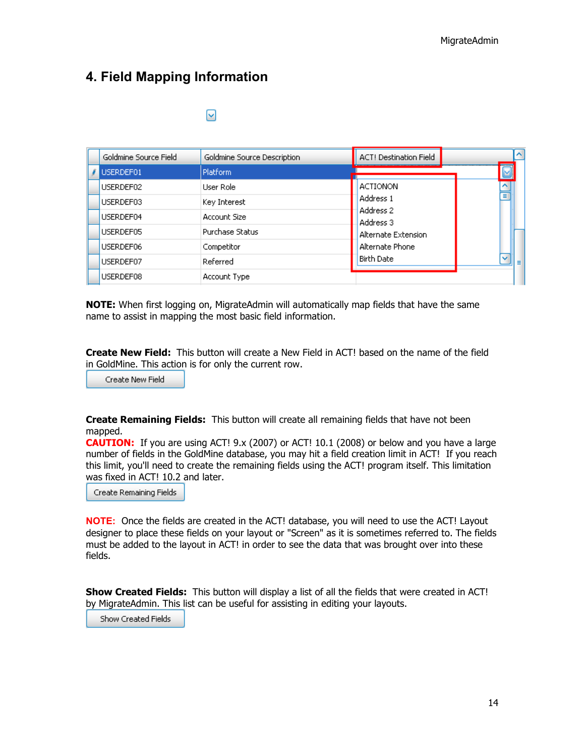### <span id="page-13-0"></span>**4. Field Mapping Information**

| Goldmine Source Field | Goldmine Source Description | <b>ACT! Destination Field</b> |                              |
|-----------------------|-----------------------------|-------------------------------|------------------------------|
| USERDEF01             | Platform.                   |                               |                              |
| USERDEF02             | User Role                   | <b>ACTIONON</b>               |                              |
| USERDEF03             | Key Interest                | Address 1                     | Ξ                            |
| USERDEF04             | Account Size                | Address 2<br>Address 3        |                              |
| USERDEF05             | Purchase Status             | Alternate Extension           |                              |
| USERDEF06             | Competitor                  | Alternate Phone               |                              |
| USERDEF07             | Referred                    | <b>Birth Date</b>             | $\overline{\mathbf{v}}$<br>Ξ |
| USERDEF08             | Account Type                |                               |                              |

**NOTE:** When first logging on, MigrateAdmin will automatically map fields that have the same name to assist in mapping the most basic field information.

**Create New Field:** This button will create a New Field in ACT! based on the name of the field in GoldMine. This action is for only the current row.

Create New Field

**Create Remaining Fields:** This button will create all remaining fields that have not been mapped.

**CAUTION:** If you are using ACT! 9.x (2007) or ACT! 10.1 (2008) or below and you have a large number of fields in the GoldMine database, you may hit a field creation limit in ACT! If you reach this limit, you'll need to create the remaining fields using the ACT! program itself. This limitation was fixed in ACT! 10.2 and later.

Create Remaining Fields

**NOTE:** Once the fields are created in the ACT! database, you will need to use the ACT! Layout designer to place these fields on your layout or "Screen" as it is sometimes referred to. The fields must be added to the layout in ACT! in order to see the data that was brought over into these fields.

**Show Created Fields:** This button will display a list of all the fields that were created in ACT! by MigrateAdmin. This list can be useful for assisting in editing your layouts.

Show Created Fields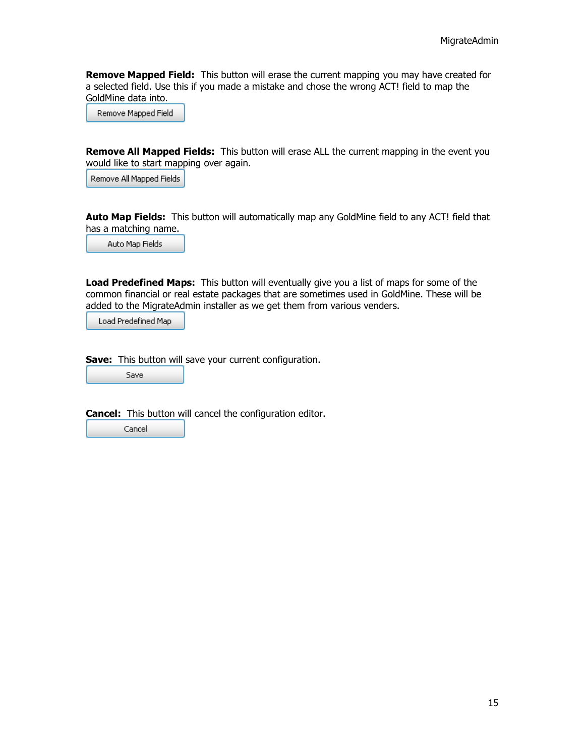**Remove Mapped Field:** This button will erase the current mapping you may have created for a selected field. Use this if you made a mistake and chose the wrong ACT! field to map the GoldMine data into.

Remove Mapped Field

**Remove All Mapped Fields:** This button will erase ALL the current mapping in the event you would like to start mapping over again.

Remove All Mapped Fields

**Auto Map Fields:** This button will automatically map any GoldMine field to any ACT! field that has a matching name.

Auto Map Fields

**Load Predefined Maps:** This button will eventually give you a list of maps for some of the common financial or real estate packages that are sometimes used in GoldMine. These will be added to the MigrateAdmin installer as we get them from various venders.

Load Predefined Map

**Save:** This button will save your current configuration.

Save

**Cancel:** This button will cancel the configuration editor.

Cancel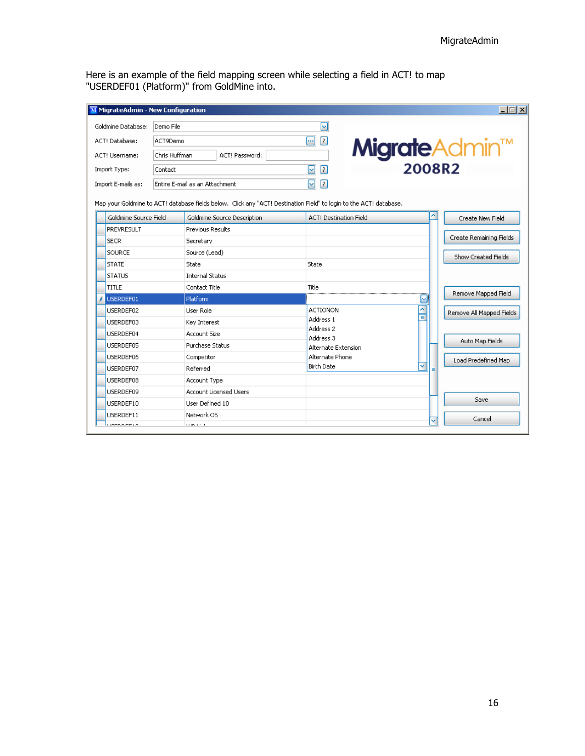Here is an example of the field mapping screen while selecting a field in ACT! to map "USERDEF01 (Platform)" from GoldMine into.

| <b>LDX</b><br>M MigrateAdmin - New Configuration |                       |                   |                                                                                                                    |                               |                                   |                          |
|--------------------------------------------------|-----------------------|-------------------|--------------------------------------------------------------------------------------------------------------------|-------------------------------|-----------------------------------|--------------------------|
|                                                  | Goldmine Database:    | Demo File         |                                                                                                                    | ⊡                             |                                   |                          |
|                                                  | ACT! Database:        | ACT9Demo          |                                                                                                                    | ◙<br>⊕                        |                                   |                          |
|                                                  | <b>ACT! Username:</b> | Chris Huffman     | ACT! Password:                                                                                                     |                               | <b>Migrate</b> Admin <sup>™</sup> |                          |
|                                                  |                       |                   |                                                                                                                    |                               |                                   |                          |
| Import Type:                                     |                       | ☑<br>⊡<br>Contact |                                                                                                                    |                               |                                   |                          |
|                                                  | Import E-mails as:    |                   | ⊡<br>$\boxed{2}$<br>Entire E-mail as an Attachment                                                                 |                               |                                   |                          |
|                                                  |                       |                   | Map your Goldmine to ACT! database fields below. Click any "ACT! Destination Field" to login to the ACT! database. |                               |                                   |                          |
|                                                  | Goldmine Source Field |                   | Goldmine Source Description                                                                                        | <b>ACT! Destination Field</b> | ^                                 | Create New Field         |
|                                                  | PREVRESULT            |                   | <b>Previous Results</b>                                                                                            |                               |                                   |                          |
|                                                  | <b>SECR</b>           |                   | Secretary                                                                                                          |                               |                                   | Create Remaining Fields  |
|                                                  | SOURCE                |                   | Source (Lead)                                                                                                      |                               |                                   | Show Created Fields      |
|                                                  | <b>STATE</b>          |                   | State                                                                                                              | State                         |                                   |                          |
|                                                  | <b>STATUS</b>         |                   | <b>Internal Status</b>                                                                                             |                               |                                   |                          |
|                                                  | TITLE                 |                   | Contact Title                                                                                                      | Title                         |                                   | Remove Mapped Field      |
|                                                  | USERDEF01             |                   | Platform                                                                                                           |                               |                                   |                          |
|                                                  | USERDEF02             |                   | User Role                                                                                                          | <b>ACTIONON</b>               | $\hat{\phantom{a}}$<br>◼          | Remove All Mapped Fields |
|                                                  | USERDEF03             |                   | Key Interest                                                                                                       | Address 1<br>Address 2        |                                   |                          |
|                                                  | USERDEF04             |                   | Account Size                                                                                                       | Address 3                     |                                   | Auto Map Fields          |
|                                                  | USERDEF05             |                   | <b>Purchase Status</b>                                                                                             | Alternate Extension           |                                   |                          |
|                                                  | USERDEF06             |                   | Competitor                                                                                                         | Alternate Phone               |                                   | Load Predefined Map      |
|                                                  | USERDEF07             |                   | Referred                                                                                                           | <b>Birth Date</b>             | v                                 |                          |
|                                                  | USERDEF08             |                   | Account Type                                                                                                       |                               |                                   |                          |
|                                                  | USERDEF09             |                   | Account Licensed Users                                                                                             |                               |                                   |                          |
|                                                  | USERDEF10             |                   | User Defined 10                                                                                                    |                               |                                   | Save                     |
|                                                  | USERDEF11             |                   | Network OS                                                                                                         |                               |                                   | Cancel                   |
|                                                  | 1.7777777777          |                   | <b>CONTRACT</b>                                                                                                    |                               |                                   |                          |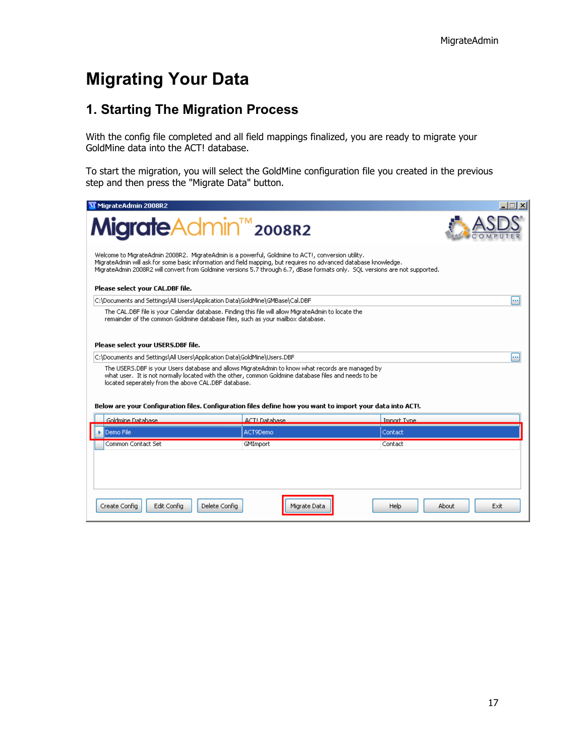### <span id="page-16-0"></span>**Migrating Your Data**

### <span id="page-16-1"></span>**1. Starting The Migration Process**

With the config file completed and all field mappings finalized, you are ready to migrate your GoldMine data into the ACT! database.

To start the migration, you will select the GoldMine configuration file you created in the previous step and then press the "Migrate Data" button.

| M MigrateAdmin 2008R2                                                                                                                                                                                                                                                                                                                                 |                     |                       |  |  |  |
|-------------------------------------------------------------------------------------------------------------------------------------------------------------------------------------------------------------------------------------------------------------------------------------------------------------------------------------------------------|---------------------|-----------------------|--|--|--|
| <b>Migrate</b> Admin <sup>™</sup> 2008R2                                                                                                                                                                                                                                                                                                              |                     |                       |  |  |  |
| Welcome to MigrateAdmin 2008R2. MigrateAdmin is a powerful, Goldmine to ACT!, conversion utility.<br>MigrateAdmin will ask for some basic information and field mapping, but requires no advanced database knowledge.<br>MigrateAdmin 2008R2 will convert from Goldmine versions 5.7 through 6.7, dBase formats only. SOL versions are not supported. |                     |                       |  |  |  |
| Please select your CAL.DBF file.                                                                                                                                                                                                                                                                                                                      |                     |                       |  |  |  |
| C:\Documents and Settings\All Users\Application Data\GoldMine\GMBase\Cal.DBF                                                                                                                                                                                                                                                                          |                     |                       |  |  |  |
| The CAL.DBF file is your Calendar database. Finding this file will allow MigrateAdmin to locate the<br>remainder of the common Goldmine database files, such as your mailbox database,                                                                                                                                                                |                     |                       |  |  |  |
| Please select your USERS.DBF file.                                                                                                                                                                                                                                                                                                                    |                     |                       |  |  |  |
| C:\Documents and Settings\All Users\Application Data\GoldMine\Users.DBF                                                                                                                                                                                                                                                                               |                     |                       |  |  |  |
| The USERS.DBF is your Users database and allows MigrateAdmin to know what records are managed by<br>what user. It is not normally located with the other, common Goldmine database files and needs to be<br>located seperately from the above CAL.DBF database.                                                                                       |                     |                       |  |  |  |
| Below are your Configuration files. Configuration files define how you want to import your data into ACT!.                                                                                                                                                                                                                                            |                     |                       |  |  |  |
| Goldmine Database                                                                                                                                                                                                                                                                                                                                     | <b>ACTLDatabase</b> | Import Type.          |  |  |  |
| Demo File                                                                                                                                                                                                                                                                                                                                             | ACT9Demo            | Contact               |  |  |  |
| Common Contact Set                                                                                                                                                                                                                                                                                                                                    | GMImport            | Contact               |  |  |  |
|                                                                                                                                                                                                                                                                                                                                                       |                     |                       |  |  |  |
| Edit Config<br>Create Config<br>Delete Config                                                                                                                                                                                                                                                                                                         | Migrate Data        | About<br>Exit<br>Help |  |  |  |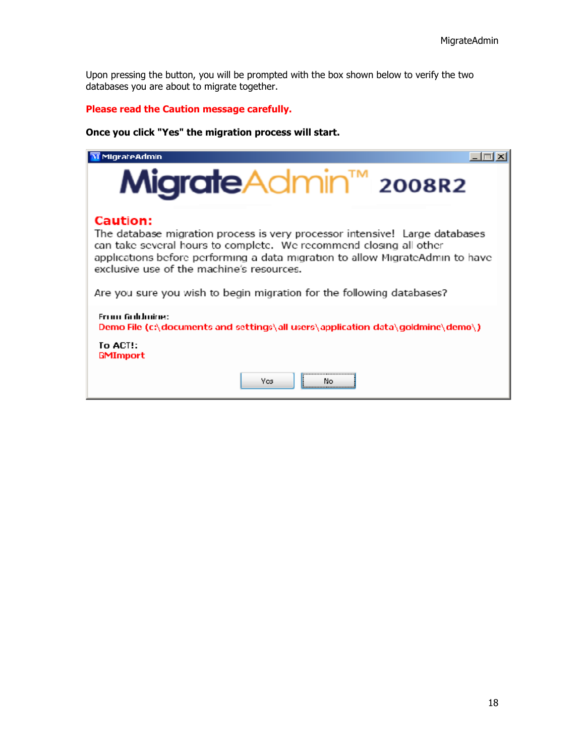Upon pressing the button, you will be prompted with the box shown below to verify the two databases you are about to migrate together.

### **Please read the Caution message carefully.**

### **Once you click "Yes" the migration process will start.**

| MigrateAdmin                                                                                                                                                                                                                                                                                                                                                                |  |  |  |
|-----------------------------------------------------------------------------------------------------------------------------------------------------------------------------------------------------------------------------------------------------------------------------------------------------------------------------------------------------------------------------|--|--|--|
| <b>Migrate</b> Admin <sup>™</sup> 2008R2                                                                                                                                                                                                                                                                                                                                    |  |  |  |
| <b>Caution:</b><br>The database migration process is very processor intensive! Large databases<br>can take several hours to complete. We recommend closing all other<br>applications before performing a data migration to allow MigrateAdmin to have<br>exclusive use of the machine's resources.<br>Are you sure you wish to begin migration for the following databases? |  |  |  |
| From Gobboine:<br>Demo File (cAdocuments and settings\all users\application data\goldmine\demo\)<br>To ACT!:<br><b>GMImport</b>                                                                                                                                                                                                                                             |  |  |  |
| <b>Yes</b><br>Nο                                                                                                                                                                                                                                                                                                                                                            |  |  |  |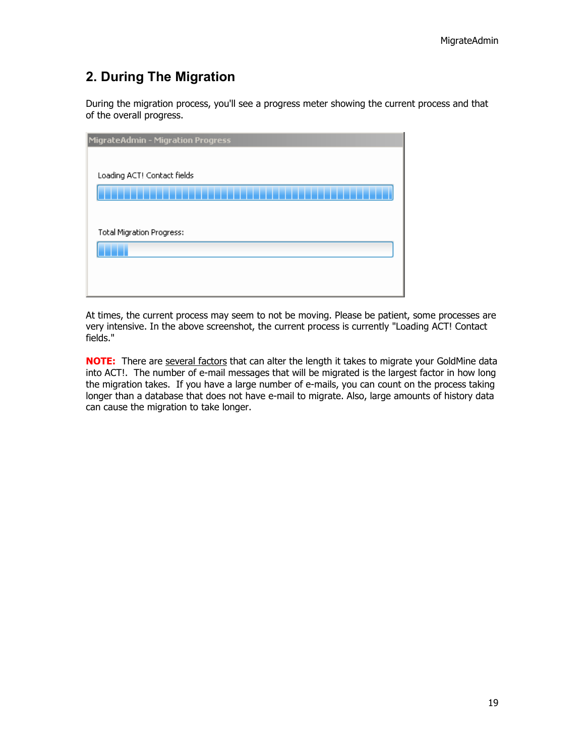### <span id="page-18-0"></span>**2. During The Migration**

During the migration process, you'll see a progress meter showing the current process and that of the overall progress.

| <b>MigrateAdmin - Migration Progress</b> |  |  |
|------------------------------------------|--|--|
|                                          |  |  |
| Loading ACT! Contact fields              |  |  |
|                                          |  |  |
|                                          |  |  |
| <b>Total Migration Progress:</b>         |  |  |
|                                          |  |  |
|                                          |  |  |
|                                          |  |  |

At times, the current process may seem to not be moving. Please be patient, some processes are very intensive. In the above screenshot, the current process is currently "Loading ACT! Contact fields."

**NOTE:** There are several factors that can alter the length it takes to migrate your GoldMine data into ACT!. The number of e-mail messages that will be migrated is the largest factor in how long the migration takes. If you have a large number of e-mails, you can count on the process taking longer than a database that does not have e-mail to migrate. Also, large amounts of history data can cause the migration to take longer.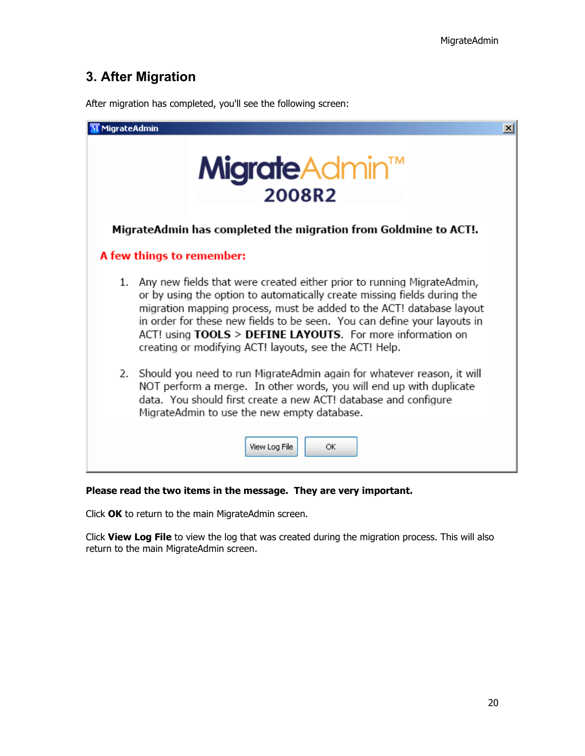### <span id="page-19-0"></span>**3. After Migration**

After migration has completed, you'll see the following screen:

| MigrateAdmin |                                                                                                                                                                                                                                                                                                                                                                                                                                   | $\vert x \vert$ |
|--------------|-----------------------------------------------------------------------------------------------------------------------------------------------------------------------------------------------------------------------------------------------------------------------------------------------------------------------------------------------------------------------------------------------------------------------------------|-----------------|
|              | <b>Migrate</b> Admin™<br>2008R2                                                                                                                                                                                                                                                                                                                                                                                                   |                 |
|              | MigrateAdmin has completed the migration from Goldmine to ACT!.                                                                                                                                                                                                                                                                                                                                                                   |                 |
|              | A few things to remember:                                                                                                                                                                                                                                                                                                                                                                                                         |                 |
|              | 1. Any new fields that were created either prior to running MigrateAdmin,<br>or by using the option to automatically create missing fields during the<br>migration mapping process, must be added to the ACT! database layout<br>in order for these new fields to be seen. You can define your layouts in<br>ACT! using TOOLS > DEFINE LAYOUTS. For more information on<br>creating or modifying ACT! layouts, see the ACT! Help. |                 |
| 2.           | Should you need to run MigrateAdmin again for whatever reason, it will<br>NOT perform a merge. In other words, you will end up with duplicate<br>data. You should first create a new ACT! database and configure<br>MigrateAdmin to use the new empty database.                                                                                                                                                                   |                 |
|              | View Log File<br>ОК                                                                                                                                                                                                                                                                                                                                                                                                               |                 |

### **Please read the two items in the message. They are very important.**

Click **OK** to return to the main MigrateAdmin screen.

Click **View Log File** to view the log that was created during the migration process. This will also return to the main MigrateAdmin screen.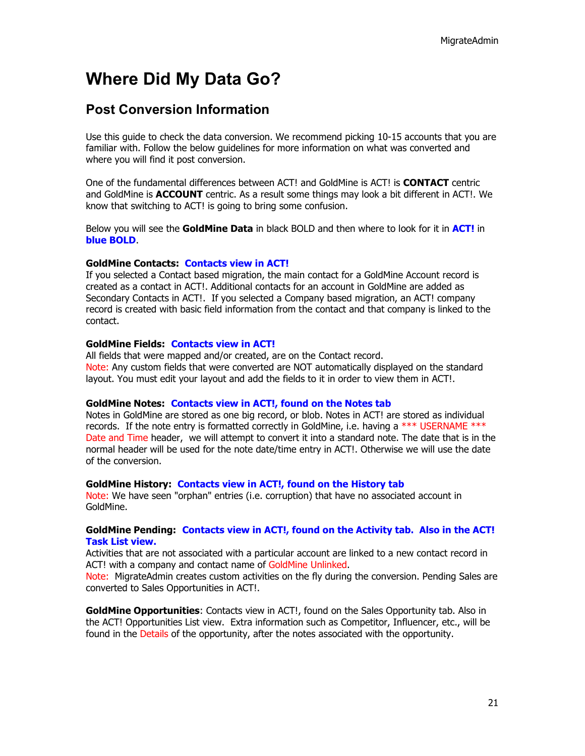### <span id="page-20-0"></span>**Where Did My Data Go?**

### <span id="page-20-1"></span>**Post Conversion Information**

Use this guide to check the data conversion. We recommend picking 10-15 accounts that you are familiar with. Follow the below guidelines for more information on what was converted and where you will find it post conversion.

One of the fundamental differences between ACT! and GoldMine is ACT! is **CONTACT** centric and GoldMine is **ACCOUNT** centric. As a result some things may look a bit different in ACT!. We know that switching to ACT! is going to bring some confusion.

Below you will see the **GoldMine Data** in black BOLD and then where to look for it in **ACT!** in **blue BOLD**.

#### **GoldMine Contacts: Contacts view in ACT!**

If you selected a Contact based migration, the main contact for a GoldMine Account record is created as a contact in ACT!. Additional contacts for an account in GoldMine are added as Secondary Contacts in ACT!. If you selected a Company based migration, an ACT! company record is created with basic field information from the contact and that company is linked to the contact.

#### **GoldMine Fields: Contacts view in ACT!**

All fields that were mapped and/or created, are on the Contact record. Note: Any custom fields that were converted are NOT automatically displayed on the standard layout. You must edit your layout and add the fields to it in order to view them in ACT!.

#### **GoldMine Notes: Contacts view in ACT!, found on the Notes tab**

Notes in GoldMine are stored as one big record, or blob. Notes in ACT! are stored as individual records. If the note entry is formatted correctly in GoldMine, i.e. having a \*\*\* USERNAME \*\*\* Date and Time header, we will attempt to convert it into a standard note. The date that is in the normal header will be used for the note date/time entry in ACT!. Otherwise we will use the date of the conversion.

#### **GoldMine History: Contacts view in ACT!, found on the History tab**

Note: We have seen "orphan" entries (i.e. corruption) that have no associated account in GoldMine.

#### **GoldMine Pending: Contacts view in ACT!, found on the Activity tab. Also in the ACT! Task List view.**

Activities that are not associated with a particular account are linked to a new contact record in ACT! with a company and contact name of GoldMine Unlinked.

Note: MigrateAdmin creates custom activities on the fly during the conversion. Pending Sales are converted to Sales Opportunities in ACT!.

**GoldMine Opportunities**: Contacts view in ACT!, found on the Sales Opportunity tab. Also in the ACT! Opportunities List view. Extra information such as Competitor, Influencer, etc., will be found in the Details of the opportunity, after the notes associated with the opportunity.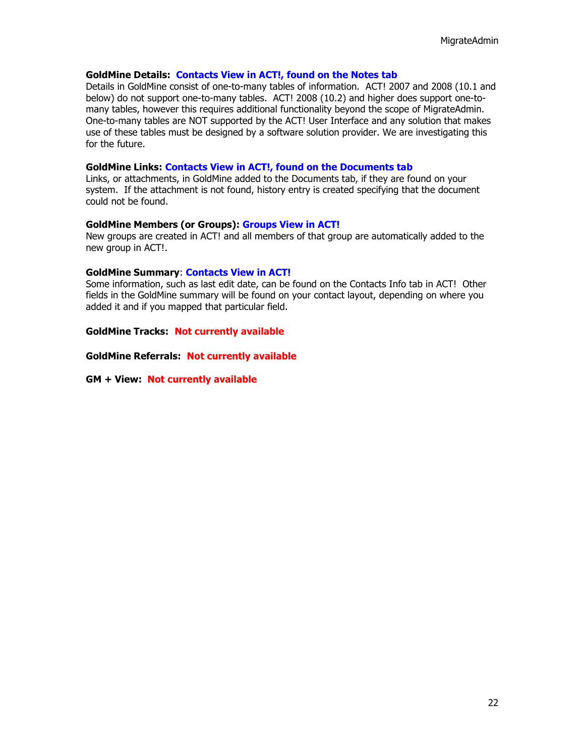#### **GoldMine Details: Contacts View in ACT!, found on the Notes tab**

Details in GoldMine consist of one-to-many tables of information. ACT! 2007 and 2008 (10.1 and below) do not support one-to-many tables. ACT! 2008 (10.2) and higher does support one-tomany tables, however this requires additional functionality beyond the scope of MigrateAdmin. One-to-many tables are NOT supported by the ACT! User Interface and any solution that makes use of these tables must be designed by a software solution provider. We are investigating this for the future.

#### **GoldMine Links: Contacts View in ACT!, found on the Documents tab**

Links, or attachments, in GoldMine added to the Documents tab, if they are found on your system. If the attachment is not found, history entry is created specifying that the document could not be found.

#### **GoldMine Members (or Groups): Groups View in ACT!**

New groups are created in ACT! and all members of that group are automatically added to the new group in ACT!.

#### **GoldMine Summary**: **Contacts View in ACT!**

Some information, such as last edit date, can be found on the Contacts Info tab in ACT! Other fields in the GoldMine summary will be found on your contact layout, depending on where you added it and if you mapped that particular field.

**GoldMine Tracks: Not currently available**

**GoldMine Referrals: Not currently available**

**GM + View: Not currently available**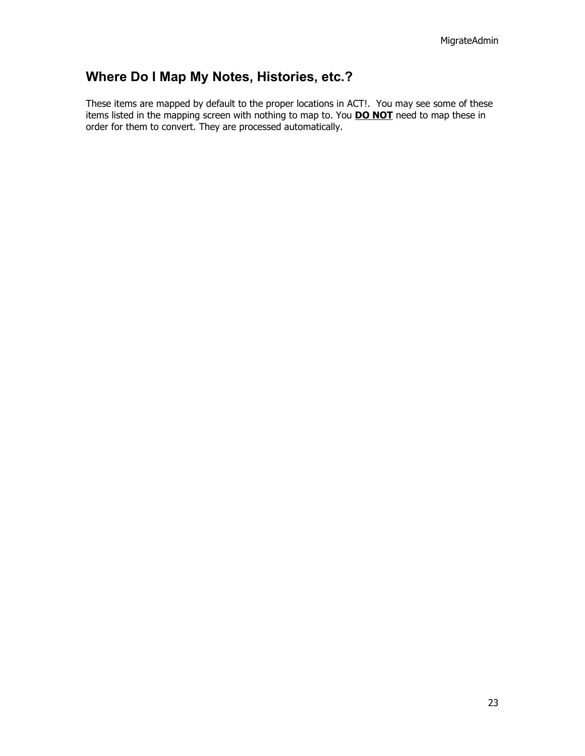### <span id="page-22-0"></span>**Where Do I Map My Notes, Histories, etc.?**

These items are mapped by default to the proper locations in ACT!. You may see some of these items listed in the mapping screen with nothing to map to. You **DO NOT** need to map these in order for them to convert. They are processed automatically.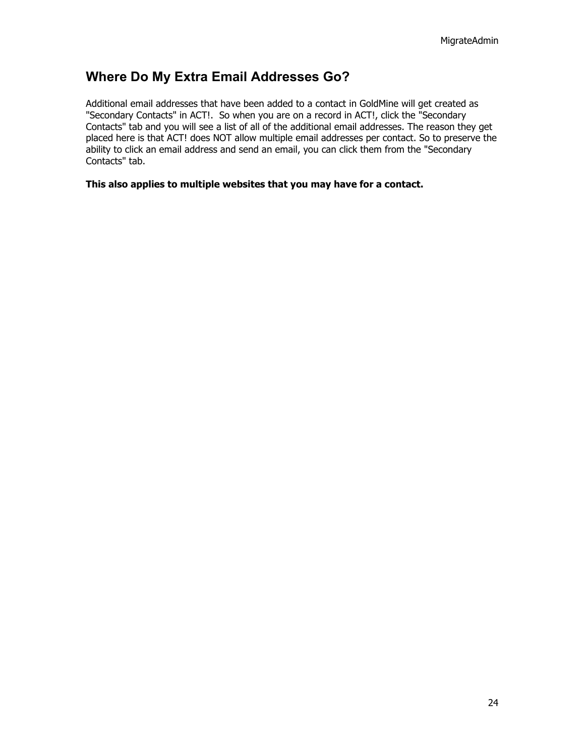### <span id="page-23-0"></span>**Where Do My Extra Email Addresses Go?**

Additional email addresses that have been added to a contact in GoldMine will get created as "Secondary Contacts" in ACT!. So when you are on a record in ACT!, click the "Secondary Contacts" tab and you will see a list of all of the additional email addresses. The reason they get placed here is that ACT! does NOT allow multiple email addresses per contact. So to preserve the ability to click an email address and send an email, you can click them from the "Secondary Contacts" tab.

#### **This also applies to multiple websites that you may have for a contact.**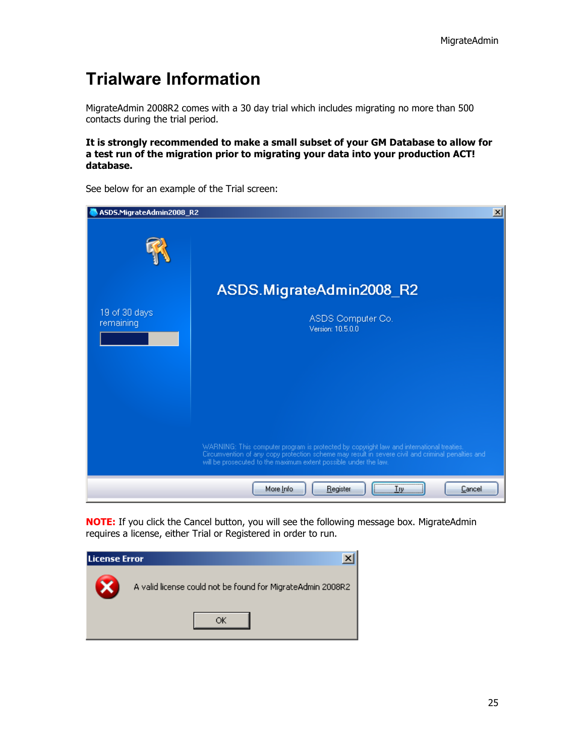### <span id="page-24-0"></span>**Trialware Information**

MigrateAdmin 2008R2 comes with a 30 day trial which includes migrating no more than 500 contacts during the trial period.

#### **It is strongly recommended to make a small subset of your GM Database to allow for a test run of the migration prior to migrating your data into your production ACT! database.**



See below for an example of the Trial screen:

**NOTE:** If you click the Cancel button, you will see the following message box. MigrateAdmin requires a license, either Trial or Registered in order to run.

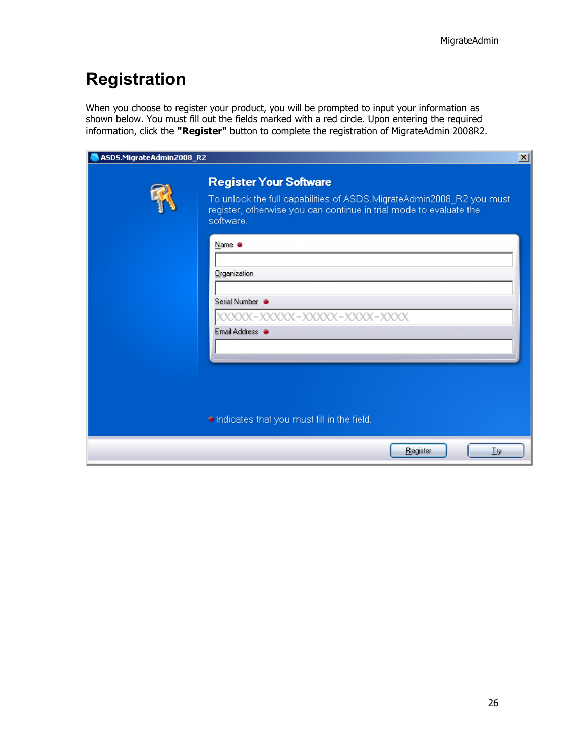### <span id="page-25-0"></span>**Registration**

When you choose to register your product, you will be prompted to input your information as shown below. You must fill out the fields marked with a red circle. Upon entering the required information, click the "Register" button to complete the registration of MigrateAdmin 2008R2.

| ASDS.MigrateAdmin2008_R2 |                                                                                                                                                                                          | $\mathbf{x}$ |
|--------------------------|------------------------------------------------------------------------------------------------------------------------------------------------------------------------------------------|--------------|
|                          | <b>Register Your Software</b><br>To unlock the full capabilities of ASDS.MigrateAdmin2008_R2 you must<br>register, otherwise you can continue in trial mode to evaluate the<br>software. |              |
|                          | Name ·<br>Organization<br>Serial Number                                                                                                                                                  |              |
|                          | XXXXX-XXXXX-XXXXXX-XXXXX-XXXX<br>Email Address <sup>@</sup>                                                                                                                              |              |
|                          | Indicates that you must fill in the field.<br>Register<br><b>Try</b>                                                                                                                     |              |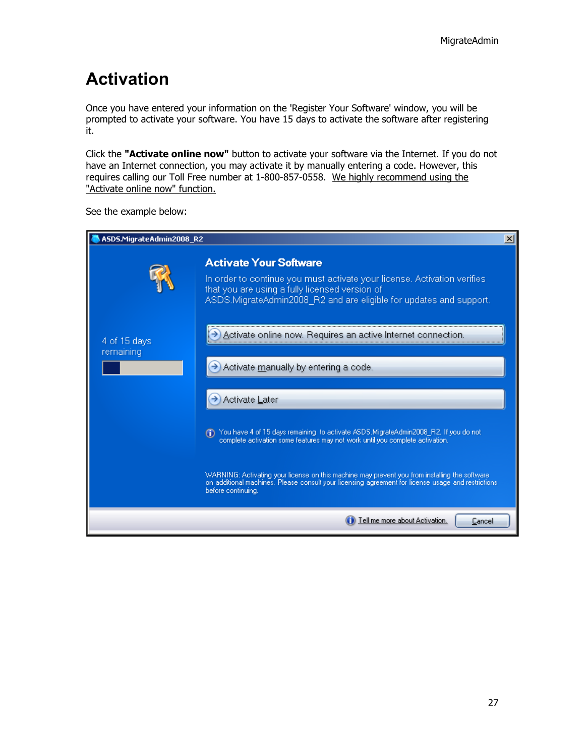### <span id="page-26-0"></span>**Activation**

Once you have entered your information on the 'Register Your Software' window, you will be prompted to activate your software. You have 15 days to activate the software after registering it.

Click the **"Activate online now"** button to activate your software via the Internet. If you do not have an Internet connection, you may activate it by manually entering a code. However, this requires calling our Toll Free number at 1-800-857-0558. We highly recommend using the "Activate online now" function.

| ASDS.MigrateAdmin2008_R2  |                                                                                                                                                                                                                                                                                                            | $\times$ |
|---------------------------|------------------------------------------------------------------------------------------------------------------------------------------------------------------------------------------------------------------------------------------------------------------------------------------------------------|----------|
|                           | <b>Activate Your Software</b><br>In order to continue you must activate your license. Activation verifies<br>that you are using a fully licensed version of<br>ASDS.MigrateAdmin2008_R2 and are eligible for updates and support.                                                                          |          |
| 4 of 15 days<br>remaining | Activate online now. Requires an active Internet connection<br>Activate manually by entering a code.                                                                                                                                                                                                       |          |
|                           | Activate Later<br>You have 4 of 15 days remaining to activate ASDS.MigrateAdmin2008_R2. If you do not<br>$\bigcirc$                                                                                                                                                                                        |          |
|                           | complete activation some features may not work until you complete activation.<br>WARNING: Activating your license on this machine may prevent you from installing the software<br>on additional machines. Please consult your licensing agreement for license usage and restrictions<br>before continuing. |          |
|                           | Tell me more about Activation.<br>Cancel                                                                                                                                                                                                                                                                   |          |

See the example below: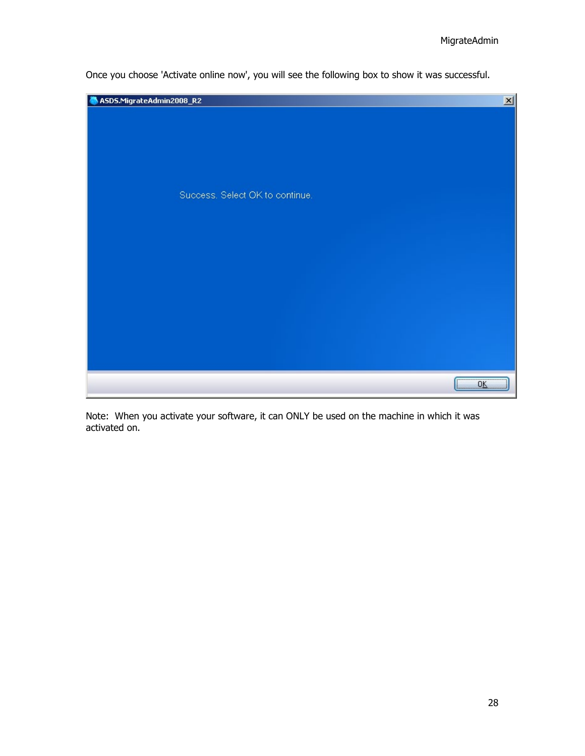

Once you choose 'Activate online now', you will see the following box to show it was successful.

Note: When you activate your software, it can ONLY be used on the machine in which it was activated on.